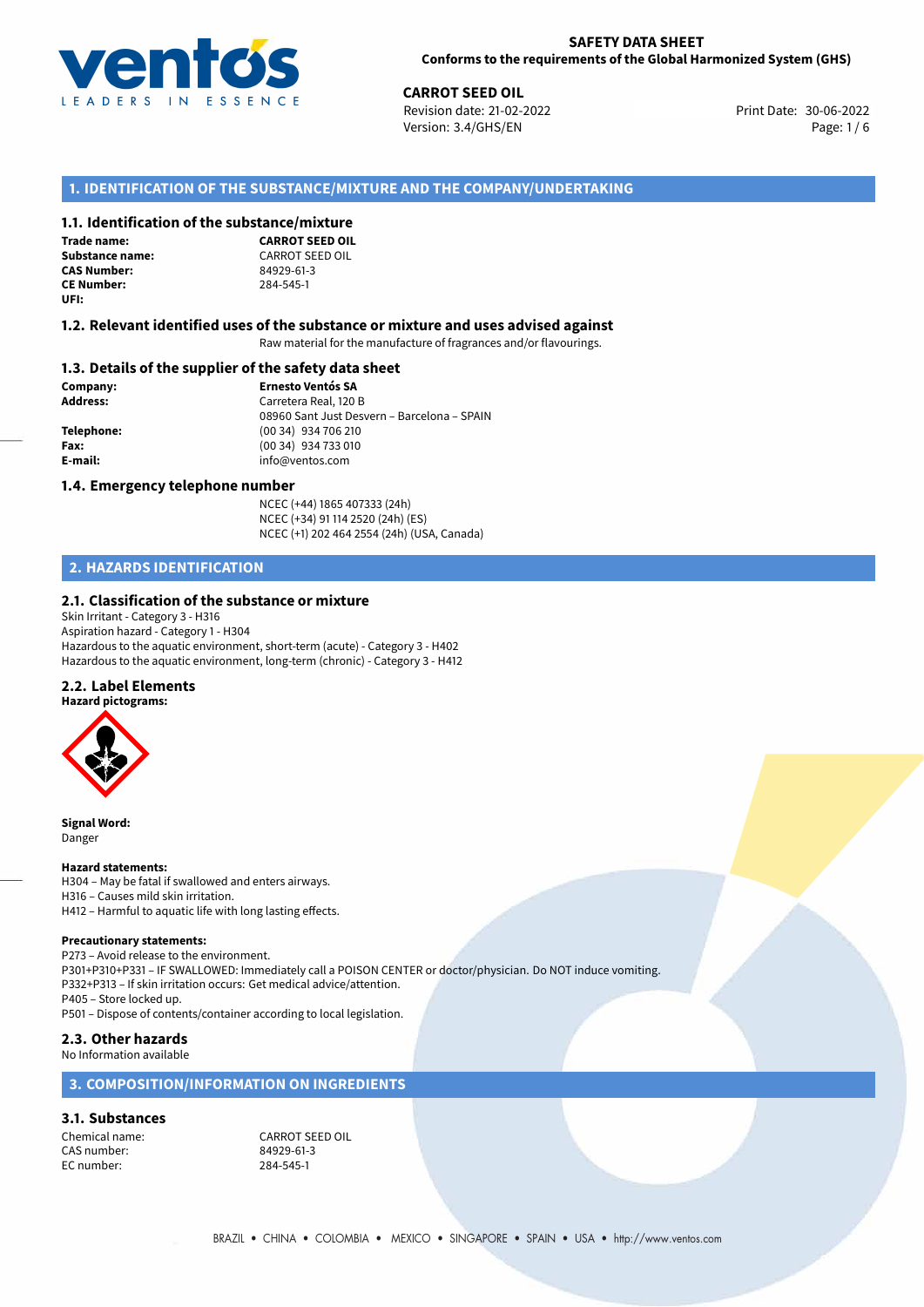

**CARROT SEED OIL**<br>30-06-2022 **Revision date: 21-02-2022** Print Date: 30-06-2022 Version: 3.4/GHS/EN Page: 1 / 6

# **1. IDENTIFICATION OF THE SUBSTANCE/MIXTURE AND THE COMPANY/UNDERTAKING**

## **1.1. Identification of the substance/mixture**

**Trade name: CAS Number: CE Number:** 284-545-1 **UFI:**

**CARROT SEED OIL Substance name:** CARROT SEED OIL<br> **CAS Number:** 84929-61-3

#### **1.2. Relevant identified uses of the substance or mixture and uses advised against**

Raw material for the manufacture of fragrances and/or flavourings.

### **1.3. Details of the supplier of the safety data sheet**

**Company: Ernesto Ventós SA Address:** Carretera Real, 120 B 08960 Sant Just Desvern – Barcelona – SPAIN **Telephone:** (00 34) 934 706 210 **Fax:** (00 34) 934 733 010 **E-mail:** info@ventos.com

#### **1.4. Emergency telephone number**

NCEC (+44) 1865 407333 (24h) NCEC (+34) 91 114 2520 (24h) (ES) NCEC (+1) 202 464 2554 (24h) (USA, Canada)

# **2. HAZARDS IDENTIFICATION**

## **2.1. Classification of the substance or mixture**

Skin Irritant - Category 3 - H316 Aspiration hazard - Category 1 - H304 Hazardous to the aquatic environment, short-term (acute) - Category 3 - H402 Hazardous to the aquatic environment, long-term (chronic) - Category 3 - H412

## **2.2. Label Elements**



**Signal Word:** Danger

#### **Hazard statements:**

H304 – May be fatal if swallowed and enters airways. H316 – Causes mild skin irritation. H412 – Harmful to aquatic life with long lasting effects.

#### **Precautionary statements:**

P273 – Avoid release to the environment. P301+P310+P331 – IF SWALLOWED: Immediately call a POISON CENTER or doctor/physician. Do NOT induce vomiting. P332+P313 – If skin irritation occurs: Get medical advice/attention. P405 – Store locked up. P501 – Dispose of contents/container according to local legislation.

## **2.3. Other hazards**

#### No Information available

# **3. COMPOSITION/INFORMATION ON INGREDIENTS**

#### **3.1. Substances**

CAS number: EC number: 284-545-1

Chemical name:<br>
CAS number: 
CAS number:<br>
24929-61-3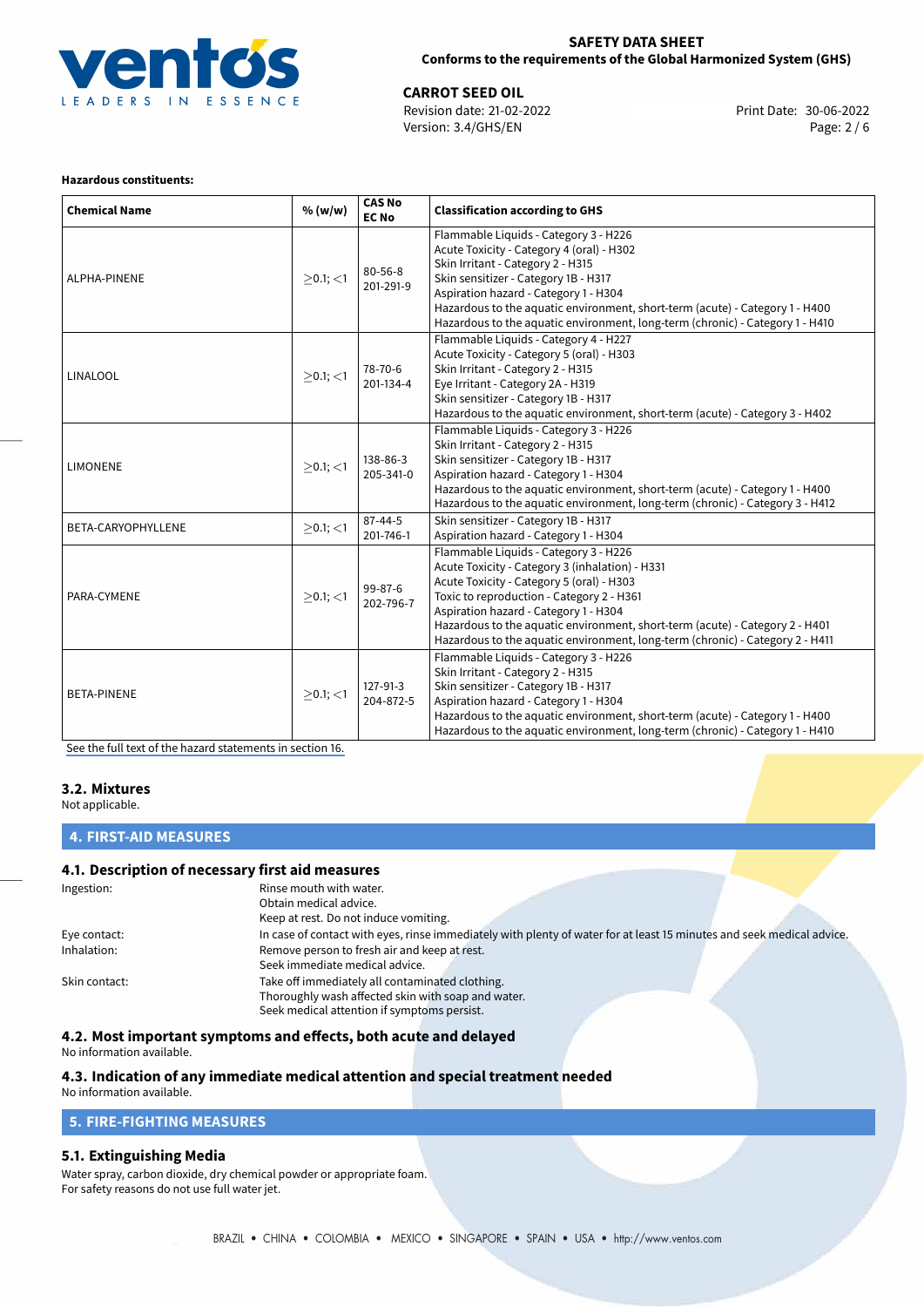

30-06-2022 **CARROT SEED OIL** Revision date: 21-02-2022 Print Date: Version: 3.4/GHS/EN Page: 2 / 6

#### **Hazardous constituents:**

| <b>Chemical Name</b> | % (w/w)        | <b>CAS No</b><br><b>EC No</b> | <b>Classification according to GHS</b>                                                                                                                                                                                                                                                                                                                                                       |
|----------------------|----------------|-------------------------------|----------------------------------------------------------------------------------------------------------------------------------------------------------------------------------------------------------------------------------------------------------------------------------------------------------------------------------------------------------------------------------------------|
| ALPHA-PINENE         | $>0.1$ ; $<$ 1 | 80-56-8<br>201-291-9          | Flammable Liquids - Category 3 - H226<br>Acute Toxicity - Category 4 (oral) - H302<br>Skin Irritant - Category 2 - H315<br>Skin sensitizer - Category 1B - H317<br>Aspiration hazard - Category 1 - H304<br>Hazardous to the aquatic environment, short-term (acute) - Category 1 - H400<br>Hazardous to the aquatic environment, long-term (chronic) - Category 1 - H410                    |
| LINALOOL             | $>0.1$ ; $<$ 1 | 78-70-6<br>201-134-4          | Flammable Liquids - Category 4 - H227<br>Acute Toxicity - Category 5 (oral) - H303<br>Skin Irritant - Category 2 - H315<br>Eye Irritant - Category 2A - H319<br>Skin sensitizer - Category 1B - H317<br>Hazardous to the aquatic environment, short-term (acute) - Category 3 - H402                                                                                                         |
| <b>LIMONENE</b>      | $>0.1$ ; $<$ 1 | 138-86-3<br>205-341-0         | Flammable Liquids - Category 3 - H226<br>Skin Irritant - Category 2 - H315<br>Skin sensitizer - Category 1B - H317<br>Aspiration hazard - Category 1 - H304<br>Hazardous to the aquatic environment, short-term (acute) - Category 1 - H400<br>Hazardous to the aquatic environment, long-term (chronic) - Category 3 - H412                                                                 |
| BETA-CARYOPHYLLENE   | $\geq$ 0.1; <1 | $87 - 44 - 5$<br>201-746-1    | Skin sensitizer - Category 1B - H317<br>Aspiration hazard - Category 1 - H304                                                                                                                                                                                                                                                                                                                |
| PARA-CYMENE          | $>0.1$ ; <1    | 99-87-6<br>202-796-7          | Flammable Liquids - Category 3 - H226<br>Acute Toxicity - Category 3 (inhalation) - H331<br>Acute Toxicity - Category 5 (oral) - H303<br>Toxic to reproduction - Category 2 - H361<br>Aspiration hazard - Category 1 - H304<br>Hazardous to the aquatic environment, short-term (acute) - Category 2 - H401<br>Hazardous to the aquatic environment, long-term (chronic) - Category 2 - H411 |
| <b>BETA-PINENE</b>   | $>0.1$ ; <1    | 127-91-3<br>204-872-5         | Flammable Liquids - Category 3 - H226<br>Skin Irritant - Category 2 - H315<br>Skin sensitizer - Category 1B - H317<br>Aspiration hazard - Category 1 - H304<br>Hazardous to the aquatic environment, short-term (acute) - Category 1 - H400<br>Hazardous to the aquatic environment, long-term (chronic) - Category 1 - H410                                                                 |

[See the full text of the hazard statements in section 16.](#page-4-0)

#### **3.2. Mixtures**

Not applicable.

# **4. FIRST-AID MEASURES**

# **4.1. Description of necessary first aid measures**

| Ingestion:    | Rinse mouth with water.                                                                                               |
|---------------|-----------------------------------------------------------------------------------------------------------------------|
|               | Obtain medical advice.                                                                                                |
|               | Keep at rest. Do not induce vomiting.                                                                                 |
| Eye contact:  | In case of contact with eyes, rinse immediately with plenty of water for at least 15 minutes and seek medical advice. |
| Inhalation:   | Remove person to fresh air and keep at rest.                                                                          |
|               | Seek immediate medical advice.                                                                                        |
| Skin contact: | Take off immediately all contaminated clothing.                                                                       |
|               | Thoroughly wash affected skin with soap and water.                                                                    |
|               | Seek medical attention if symptoms persist.                                                                           |

**4.2. Most important symptoms and effects, both acute and delayed**

No information available.

# **4.3. Indication of any immediate medical attention and special treatment needed**

No information available.

# **5. FIRE-FIGHTING MEASURES**

# **5.1. Extinguishing Media**

Water spray, carbon dioxide, dry chemical powder or appropriate foam. For safety reasons do not use full water jet.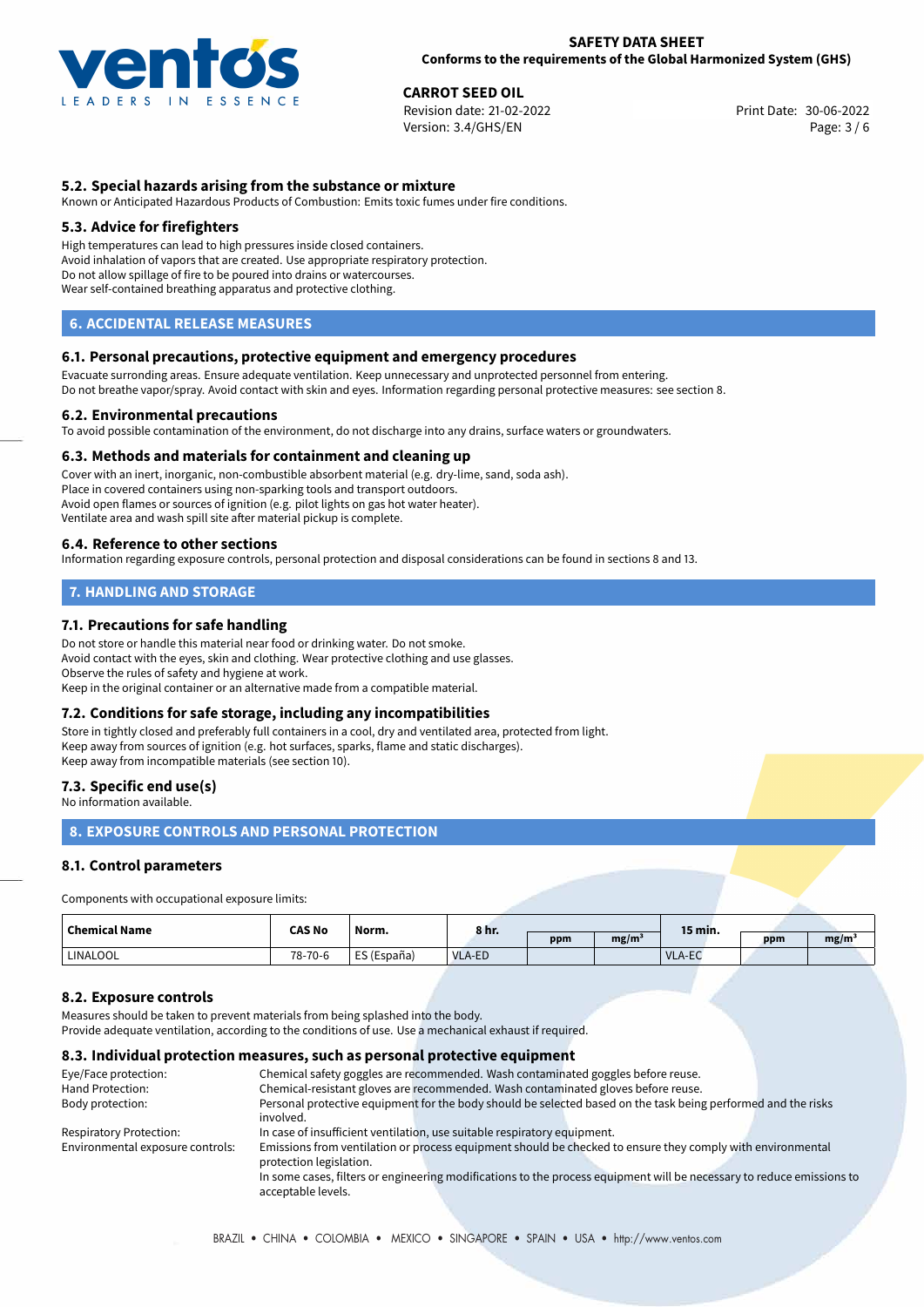

**CARROT SEED OIL**<br>30-06-2022 **CARGING SEED AT SEE SET PROPERTY**<br>30-06-2022 Print Date: 30-06-2022 Revision date: 21-02-2022 Version: 3.4/GHS/EN Page: 3 / 6

# **5.2. Special hazards arising from the substance or mixture**

Known or Anticipated Hazardous Products of Combustion: Emits toxic fumes under fire conditions.

## **5.3. Advice for firefighters**

High temperatures can lead to high pressures inside closed containers. Avoid inhalation of vapors that are created. Use appropriate respiratory protection. Do not allow spillage of fire to be poured into drains or watercourses. Wear self-contained breathing apparatus and protective clothing.

# **6. ACCIDENTAL RELEASE MEASURES**

## **6.1. Personal precautions, protective equipment and emergency procedures**

Evacuate surronding areas. Ensure adequate ventilation. Keep unnecessary and unprotected personnel from entering. Do not breathe vapor/spray. Avoid contact with skin and eyes. Information regarding personal protective measures: see section 8.

## **6.2. Environmental precautions**

To avoid possible contamination of the environment, do not discharge into any drains, surface waters or groundwaters.

#### **6.3. Methods and materials for containment and cleaning up**

Cover with an inert, inorganic, non-combustible absorbent material (e.g. dry-lime, sand, soda ash). Place in covered containers using non-sparking tools and transport outdoors. Avoid open flames or sources of ignition (e.g. pilot lights on gas hot water heater). Ventilate area and wash spill site after material pickup is complete.

#### **6.4. Reference to other sections**

Information regarding exposure controls, personal protection and disposal considerations can be found in sections 8 and 13.

# **7. HANDLING AND STORAGE**

## **7.1. Precautions for safe handling**

Do not store or handle this material near food or drinking water. Do not smoke. Avoid contact with the eyes, skin and clothing. Wear protective clothing and use glasses. Observe the rules of safety and hygiene at work. Keep in the original container or an alternative made from a compatible material.

## **7.2. Conditions for safe storage, including any incompatibilities**

Store in tightly closed and preferably full containers in a cool, dry and ventilated area, protected from light. Keep away from sources of ignition (e.g. hot surfaces, sparks, flame and static discharges). Keep away from incompatible materials (see section 10).

# **7.3. Specific end use(s)**

No information available.

# **8. EXPOSURE CONTROLS AND PERSONAL PROTECTION**

## **8.1. Control parameters**

Components with occupational exposure limits:

| <b>Chemical Name</b> | <b>CAS No</b> | Norm.         | 8 hr.         |     |                   | 15 min. |     |      |
|----------------------|---------------|---------------|---------------|-----|-------------------|---------|-----|------|
|                      |               |               |               | ppm | mg/m <sup>3</sup> |         | ppm | mg/m |
| <b>LINALOOL</b>      | 78-70-6       | ' ES (España) | <b>VLA-ED</b> |     |                   | VLA-EC  |     |      |

## **8.2. Exposure controls**

Measures should be taken to prevent materials from being splashed into the body.

Provide adequate ventilation, according to the conditions of use. Use a mechanical exhaust if required.

### **8.3. Individual protection measures, such as personal protective equipment**

| Eye/Face protection:             | Chemical safety goggles are recommended. Wash contaminated goggles before reuse.  |  |                                                                                                                       |  |  |
|----------------------------------|-----------------------------------------------------------------------------------|--|-----------------------------------------------------------------------------------------------------------------------|--|--|
| Hand Protection:                 | Chemical-resistant gloves are recommended. Wash contaminated gloves before reuse. |  |                                                                                                                       |  |  |
| Body protection:                 |                                                                                   |  | Personal protective equipment for the body should be selected based on the task being performed and the risks         |  |  |
|                                  | involved.                                                                         |  |                                                                                                                       |  |  |
| Respiratory Protection:          | In case of insufficient ventilation, use suitable respiratory equipment.          |  |                                                                                                                       |  |  |
| Environmental exposure controls: |                                                                                   |  | Emissions from ventilation or process equipment should be checked to ensure they comply with environmental            |  |  |
|                                  | protection legislation.                                                           |  |                                                                                                                       |  |  |
|                                  |                                                                                   |  | In some cases, filters or engineering modifications to the process equipment will be necessary to reduce emissions to |  |  |
|                                  | acceptable levels.                                                                |  |                                                                                                                       |  |  |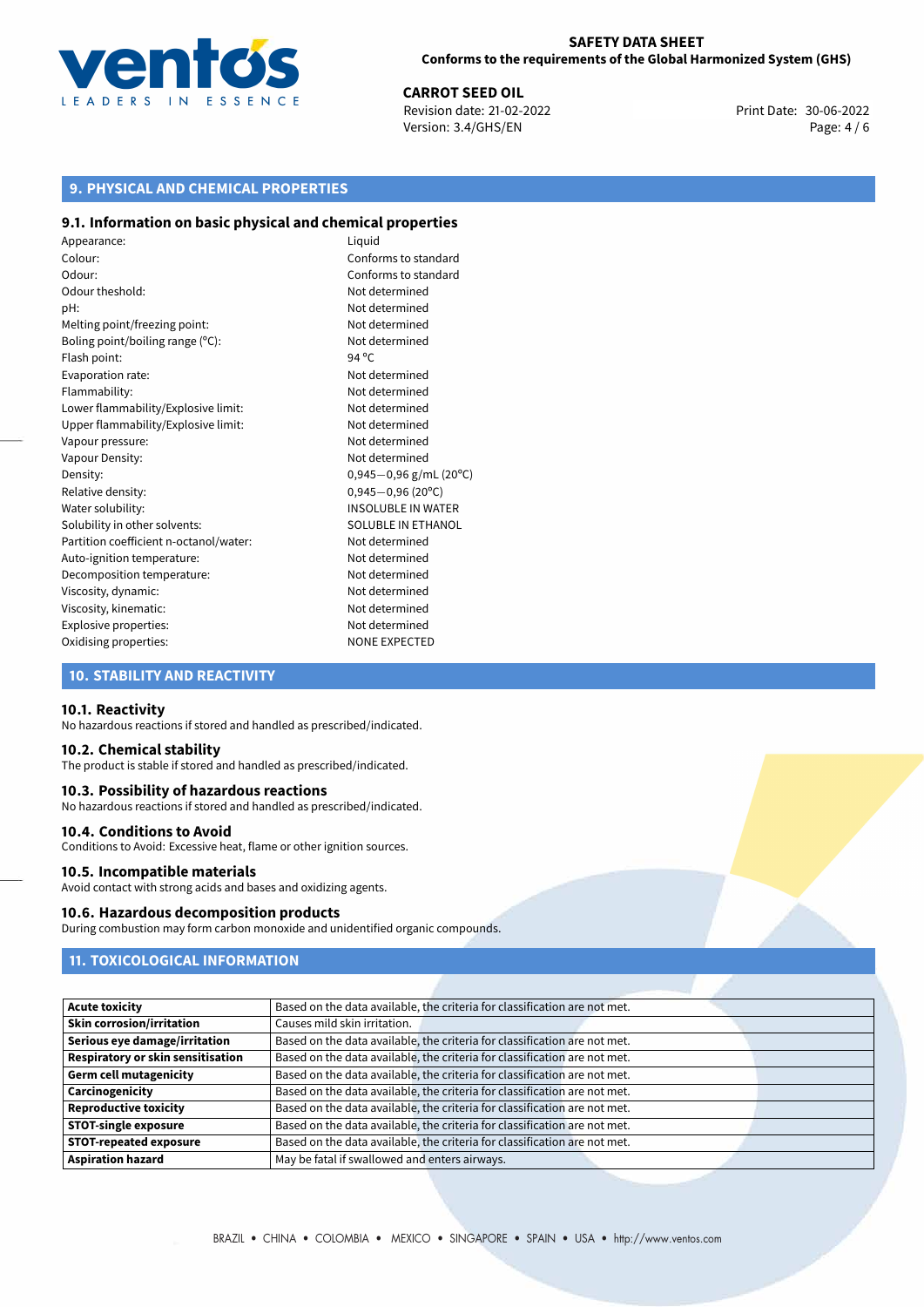

**CARROT SEED OIL**<br>
Revision date: 21-02-2022<br> **CARROT SEED OIL**<br> **CARROT SEED OIL**<br> **CARROT SEED OIL** Revision date: 21-02-2022 Version: 3.4/GHS/EN Page: 4 / 6

# **9. PHYSICAL AND CHEMICAL PROPERTIES**

#### **9.1. Information on basic physical and chemical properties**

Appearance: Liquid Colour: Conforms to standard Odour: Conforms to standard Odour theshold: Not determined pH: Not determined Melting point/freezing point: Not determined Boling point/boiling range (°C): Not determined Flash point: 94 °C Evaporation rate: Not determined Flammability: Not determined Lower flammability/Explosive limit: Not determined Upper flammability/Explosive limit: Not determined Vapour pressure: Vapour pressure: Not determined Vapour Density: Not determined Density: 0,945−0,96 g/mL (20<sup>o</sup>C)<br>Relative density: 0,945−0,96 (20<sup>o</sup>C) Relative density: 0,945−0,96 (20°C)<br>Water solubility: 0,945−0,96 (20°C) Solubility in other solvents: SOLUBLE IN ETHANOL Partition coefficient n-octanol/water: Not determined Auto-ignition temperature: Not determined Decomposition temperature: Not determined Viscosity, dynamic: Not determined Viscosity, kinematic: Not determined Explosive properties: Not determined Oxidising properties: NONE EXPECTED

**INSOLUBLE IN WATER** 

# **10. STABILITY AND REACTIVITY**

#### **10.1. Reactivity**

No hazardous reactions if stored and handled as prescribed/indicated.

#### **10.2. Chemical stability**

The product is stable if stored and handled as prescribed/indicated.

#### **10.3. Possibility of hazardous reactions**

No hazardous reactions if stored and handled as prescribed/indicated.

#### **10.4. Conditions to Avoid**

Conditions to Avoid: Excessive heat, flame or other ignition sources.

#### **10.5. Incompatible materials**

Avoid contact with strong acids and bases and oxidizing agents.

#### **10.6. Hazardous decomposition products**

During combustion may form carbon monoxide and unidentified organic compounds.

# **11. TOXICOLOGICAL INFORMATION**

| <b>Acute toxicity</b>                    | Based on the data available, the criteria for classification are not met. |
|------------------------------------------|---------------------------------------------------------------------------|
| <b>Skin corrosion/irritation</b>         | Causes mild skin irritation.                                              |
| Serious eye damage/irritation            | Based on the data available, the criteria for classification are not met. |
| <b>Respiratory or skin sensitisation</b> | Based on the data available, the criteria for classification are not met. |
| <b>Germ cell mutagenicity</b>            | Based on the data available, the criteria for classification are not met. |
| Carcinogenicity                          | Based on the data available, the criteria for classification are not met. |
| <b>Reproductive toxicity</b>             | Based on the data available, the criteria for classification are not met. |
| <b>STOT-single exposure</b>              | Based on the data available, the criteria for classification are not met. |
| STOT-repeated exposure                   | Based on the data available, the criteria for classification are not met. |
| <b>Aspiration hazard</b>                 | May be fatal if swallowed and enters airways.                             |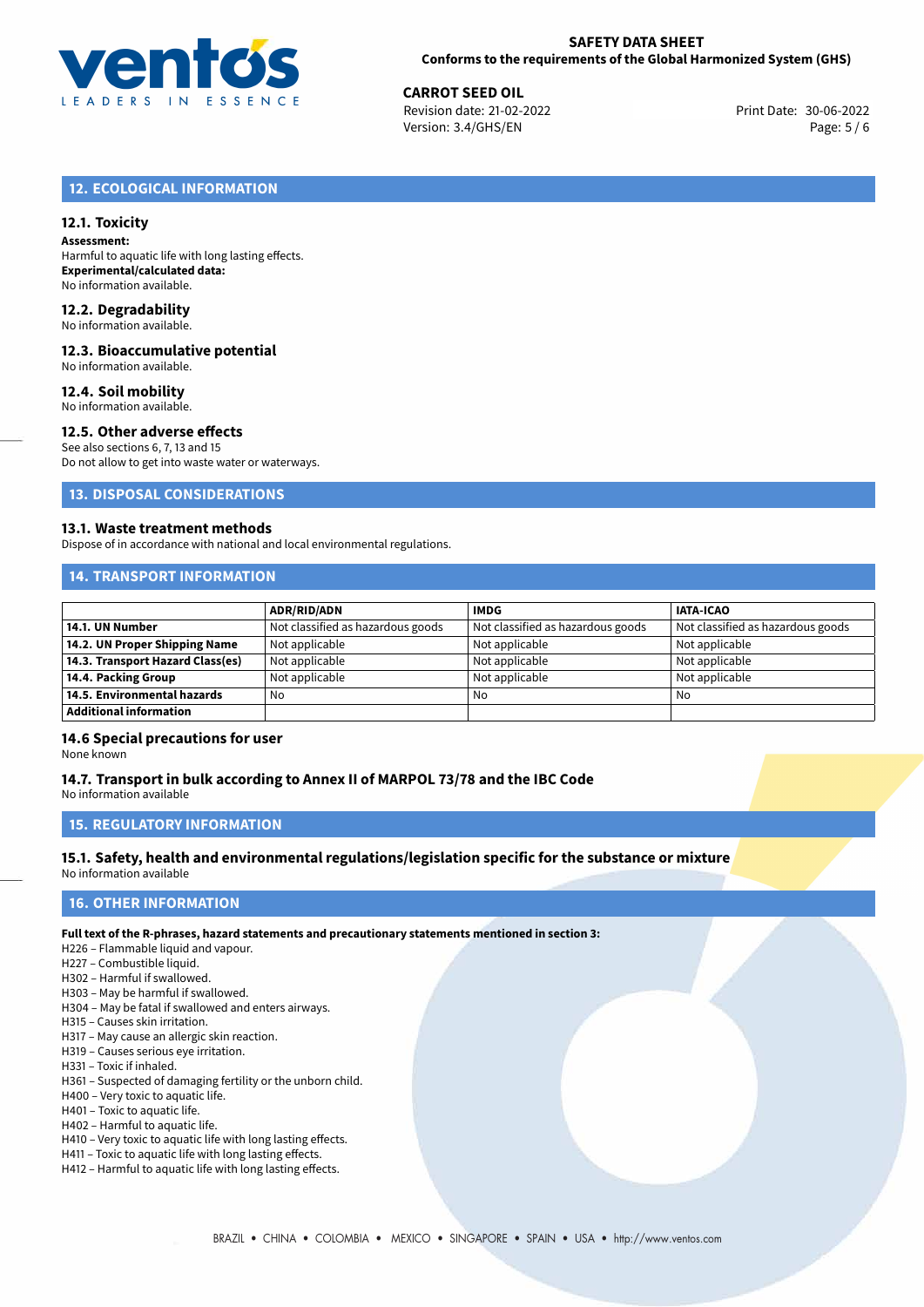

30-06-2022 **CARROT SEED OIL** Revision date: 21-02-2022 Print Date: Version: 3.4/GHS/EN Page: 5 / 6

# **12. ECOLOGICAL INFORMATION**

# **12.1. Toxicity**

**Assessment:** Harmful to aquatic life with long lasting effects. **Experimental/calculated data:** No information available.

#### **12.2. Degradability**

No information available.

#### **12.3. Bioaccumulative potential**

No information available.

#### **12.4. Soil mobility**

No information available.

# **12.5. Other adverse effects**

See also sections 6, 7, 13 and 15

Do not allow to get into waste water or waterways.

**13. DISPOSAL CONSIDERATIONS**

#### **13.1. Waste treatment methods**

Dispose of in accordance with national and local environmental regulations.

## **14. TRANSPORT INFORMATION**

|                                  | <b>ADR/RID/ADN</b>                | <b>IMDG</b>                       | <b>IATA-ICAO</b>                  |
|----------------------------------|-----------------------------------|-----------------------------------|-----------------------------------|
| 14.1. UN Number                  | Not classified as hazardous goods | Not classified as hazardous goods | Not classified as hazardous goods |
| 14.2. UN Proper Shipping Name    | Not applicable                    | Not applicable                    | Not applicable                    |
| 14.3. Transport Hazard Class(es) | Not applicable                    | Not applicable                    | Not applicable                    |
| 14.4. Packing Group              | Not applicable                    | Not applicable                    | Not applicable                    |
| 14.5. Environmental hazards      | No                                | No                                | No                                |
| Additional information           |                                   |                                   |                                   |

# **14.6 Special precautions for user**

None known

# **14.7. Transport in bulk according to Annex II of MARPOL 73/78 and the IBC Code**

No information available

# **15. REGULATORY INFORMATION**

#### **15.1. Safety, health and environmental regulations/legislation specific for the substance or mixture** No information available

## <span id="page-4-0"></span>**16. OTHER INFORMATION**

#### **Full text of the R-phrases, hazard statements and precautionary statements mentioned in section 3:**

- H226 Flammable liquid and vapour.
- H227 Combustible liquid.
- H302 Harmful if swallowed.
- H303 May be harmful if swallowed.
- H304 May be fatal if swallowed and enters airways.
- H315 Causes skin irritation.
- H317 May cause an allergic skin reaction.
- H319 Causes serious eye irritation.
- H331 Toxic if inhaled.
- H361 Suspected of damaging fertility or the unborn child.
- H400 Very toxic to aquatic life.
- H401 Toxic to aquatic life. H402 – Harmful to aquatic life.
- H410 Very toxic to aquatic life with long lasting effects.
- H411 Toxic to aquatic life with long lasting effects.
- H412 Harmful to aquatic life with long lasting effects.